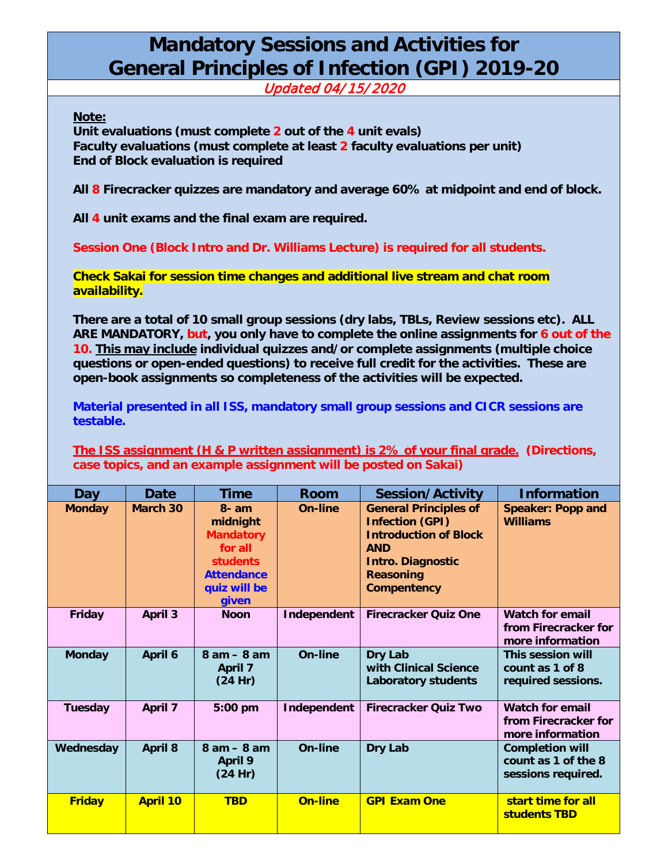## **Mandatory Sessions and Activities for General Principles of Infection (GPI) 2019-20**

Updated 04/ 15/2020

**Note:**

**Unit evaluations (must complete 2 out of the 4 unit evals) Faculty evaluations (must complete at least 2 faculty evaluations per unit) End of Block evaluation is required**

**All 8 Firecracker quizzes are mandatory and average 60% at midpoint and end of block.**

**All 4 unit exams and the final exam are required.**

**Session One (Block Intro and Dr. Williams Lecture) is required for all students.**

**Check Sakai for session time changes and additional live stream and chat room availability.**

**There are a total of 10 small group sessions (dry labs, TBLs, Review sessions etc). ALL ARE MANDATORY, but, you only have to complete the online assignments for 6 out of the 10. This may include individual quizzes and/or complete assignments (multiple choice questions or open-ended questions) to receive full credit for the activities. These are open-book assignments so completeness of the activities will be expected.**

**Material presented in all ISS, mandatory small group sessions and CICR sessions are testable.**

**The ISS assignment (H & P written assignment) is 2% of your final grade. (Directions, case topics, and an example assignment will be posted on Sakai)**

| Day           | Date            | <b>Time</b>                                                                                                          | <b>Room</b>    | <b>Session/Activity</b>                                                                                                                                                    | <b>Information</b>                                                  |
|---------------|-----------------|----------------------------------------------------------------------------------------------------------------------|----------------|----------------------------------------------------------------------------------------------------------------------------------------------------------------------------|---------------------------------------------------------------------|
| <b>Monday</b> | <b>March 30</b> | $8 - am$<br>midnight<br><b>Mandatory</b><br>for all<br><b>students</b><br><b>Attendance</b><br>quiz will be<br>given | On-line        | <b>General Principles of</b><br><b>Infection (GPI)</b><br><b>Introduction of Block</b><br><b>AND</b><br><b>Intro. Diagnostic</b><br><b>Reasoning</b><br><b>Compentency</b> | <b>Speaker: Popp and</b><br><b>Williams</b>                         |
| <b>Friday</b> | <b>April 3</b>  | <b>Noon</b>                                                                                                          | Independent    | <b>Firecracker Ouiz One</b>                                                                                                                                                | <b>Watch for email</b><br>from Firecracker for<br>more information  |
| <b>Monday</b> | April 6         | $8$ am $-$ 8 am<br><b>April 7</b><br>(24 Hr)                                                                         | On-line        | Dry Lab<br>with Clinical Science<br><b>Laboratory students</b>                                                                                                             | This session will<br>count as 1 of 8<br>required sessions.          |
| Tuesday       | April 7         | 5:00 pm                                                                                                              | Independent    | <b>Firecracker Quiz Two</b>                                                                                                                                                | <b>Watch for email</b><br>from Firecracker for<br>more information  |
| Wednesday     | <b>April 8</b>  | $8 am - 8 am$<br><b>April 9</b><br>(24 Hr)                                                                           | <b>On-line</b> | <b>Dry Lab</b>                                                                                                                                                             | <b>Completion will</b><br>count as 1 of the 8<br>sessions required. |
| <b>Friday</b> | <b>April 10</b> | <b>TBD</b>                                                                                                           | On-line        | <b>GPI Exam One</b>                                                                                                                                                        | start time for all<br>students TBD                                  |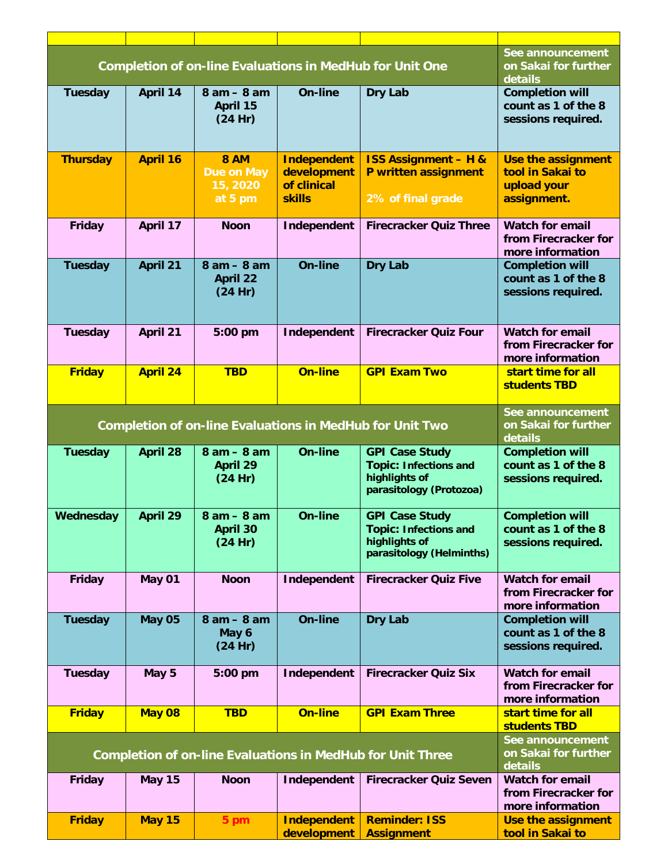| <b>Completion of on-line Evaluations in MedHub for Unit One</b>   |                 |                                                         |                                                                   | See announcement<br>on Sakai for further<br>details                                                |                                                                      |
|-------------------------------------------------------------------|-----------------|---------------------------------------------------------|-------------------------------------------------------------------|----------------------------------------------------------------------------------------------------|----------------------------------------------------------------------|
| Tuesday                                                           | April 14        | $8$ am $-$ 8 am<br>April 15<br>(24 Hr)                  | <b>On-line</b>                                                    | <b>Dry Lab</b>                                                                                     | <b>Completion will</b><br>count as 1 of the 8<br>sessions required.  |
| <b>Thursday</b>                                                   | <b>April 16</b> | <b>8 AM</b><br><b>Due on May</b><br>15, 2020<br>at 5 pm | <b>Independent</b><br>development<br>of clinical<br><b>skills</b> | <b>ISS Assignment - H &amp;</b><br>P written assignment<br>2% of final grade                       | Use the assignment<br>tool in Sakai to<br>upload your<br>assignment. |
| Friday                                                            | April 17        | <b>Noon</b>                                             | Independent                                                       | <b>Firecracker Quiz Three</b>                                                                      | <b>Watch for email</b><br>from Firecracker for<br>more information   |
| <b>Tuesday</b>                                                    | April 21        | $8am - 8am$<br><b>April 22</b><br>(24 Hr)               | <b>On-line</b>                                                    | <b>Dry Lab</b>                                                                                     | <b>Completion will</b><br>count as 1 of the 8<br>sessions required.  |
| Tuesday                                                           | April 21        | 5:00 pm                                                 | Independent                                                       | <b>Firecracker Quiz Four</b>                                                                       | <b>Watch for email</b><br>from Firecracker for<br>more information   |
| <b>Friday</b>                                                     | <b>April 24</b> | <b>TBD</b>                                              | <b>On-line</b>                                                    | <b>GPI Exam Two</b>                                                                                | start time for all<br>students TBD                                   |
| <b>Completion of on-line Evaluations in MedHub for Unit Two</b>   |                 |                                                         |                                                                   |                                                                                                    | See announcement<br>on Sakai for further<br>details                  |
| <b>Tuesday</b>                                                    | <b>April 28</b> | $8am - 8am$<br><b>April 29</b><br>(24 Hr)               | <b>On-line</b>                                                    | <b>GPI Case Study</b><br><b>Topic: Infections and</b><br>highlights of<br>parasitology (Protozoa)  | <b>Completion will</b><br>count as 1 of the 8<br>sessions required.  |
| Wednesday                                                         | April 29        | $8am - 8am$<br><b>April 30</b><br>(24 Hr)               | On-line                                                           | <b>GPI Case Study</b><br><b>Topic: Infections and</b><br>highlights of<br>parasitology (Helminths) | <b>Completion will</b><br>count as 1 of the 8<br>sessions required.  |
| Friday                                                            | May 01          | <b>Noon</b>                                             | Independent                                                       | <b>Firecracker Quiz Five</b>                                                                       | <b>Watch for email</b><br>from Firecracker for<br>more information   |
| <b>Tuesday</b>                                                    | <b>May 05</b>   | $8$ am $-$ 8 am<br>May 6<br>(24 Hr)                     | <b>On-line</b>                                                    | <b>Dry Lab</b>                                                                                     | <b>Completion will</b><br>count as 1 of the 8<br>sessions required.  |
| Tuesday                                                           | May 5           | 5:00 pm                                                 | Independent                                                       | <b>Firecracker Quiz Six</b>                                                                        | <b>Watch for email</b><br>from Firecracker for<br>more information   |
| <b>Friday</b>                                                     | <b>May 08</b>   | <b>TBD</b>                                              | <b>On-line</b>                                                    | <b>GPI Exam Three</b>                                                                              | start time for all<br>students TBD                                   |
| <b>Completion of on-line Evaluations in MedHub for Unit Three</b> |                 |                                                         |                                                                   |                                                                                                    | See announcement<br>on Sakai for further<br>details                  |
| <b>Friday</b>                                                     | <b>May 15</b>   | <b>Noon</b>                                             | Independent                                                       | <b>Firecracker Quiz Seven</b>                                                                      | <b>Watch for email</b><br>from Firecracker for<br>more information   |
| <b>Friday</b>                                                     | <b>May 15</b>   | 5 pm                                                    | <b>Independent</b><br>development                                 | <b>Reminder: ISS</b><br><b>Assignment</b>                                                          | Use the assignment<br>tool in Sakai to                               |